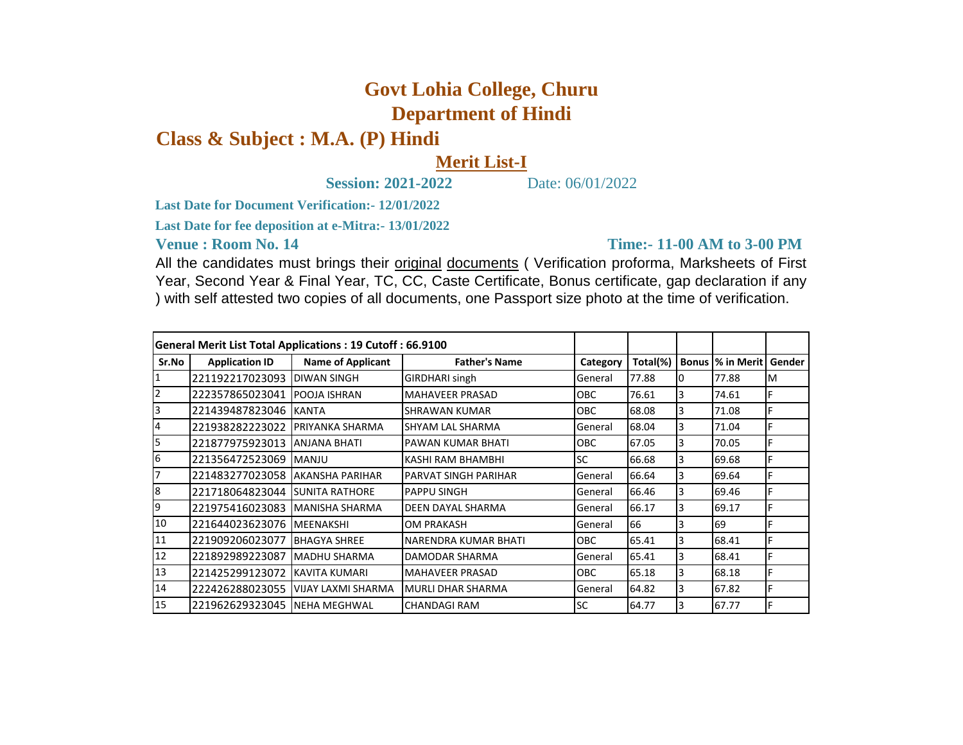## **Govt Lohia College, Churu Department of Hindi**

## **Class & Subject : M.A. (P) Hindi**

## **Merit List-I**

**Session: 2021-2022** Date: 06/01/2022

**Last Date for Document Verification:- 12/01/2022**

**Last Date for fee deposition at e-Mitra:- 13/01/2022**

**Venue : Room No. 14** 

**Time:- 11-00 AM to 3-00 PM** 

All the candidates must brings their original documents (Verification proforma, Marksheets of First Year, Second Year & Final Year, TC, CC, Caste Certificate, Bonus certificate, gap declaration if any ) with self attested two copies of all documents, one Passport size photo at the time of verification.

| <b>General Merit List Total Applications: 19 Cutoff: 66.9100</b> |                                  |                          |                             |            |          |              |            |        |
|------------------------------------------------------------------|----------------------------------|--------------------------|-----------------------------|------------|----------|--------------|------------|--------|
| Sr.No                                                            | <b>Application ID</b>            | <b>Name of Applicant</b> | <b>Father's Name</b>        | Category   | Total(%) | <b>Bonus</b> | % in Merit | Gender |
| 1                                                                | 221192217023093                  | <b>DIWAN SINGH</b>       | <b>GIRDHARI singh</b>       | General    | 77.88    | 10           | 77.88      | M      |
| 2                                                                | 222357865023041 POOJA ISHRAN     |                          | <b>MAHAVEER PRASAD</b>      | OBC.       | 76.61    | 3            | 74.61      | F      |
| 3                                                                | 221439487823046  KANTA           |                          | SHRAWAN KUMAR               | <b>OBC</b> | 68.08    | 3            | 71.08      | F      |
| $\overline{4}$                                                   | 221938282223022 PRIYANKA SHARMA  |                          | <b>SHYAM LAL SHARMA</b>     | General    | 68.04    | 3            | 71.04      | F      |
| 5                                                                | 221877975923013  ANJANA BHATI    |                          | PAWAN KUMAR BHATI           | <b>OBC</b> | 67.05    | 3            | 70.05      | F      |
| 6                                                                | 221356472523069                  | <b>MANJU</b>             | KASHI RAM BHAMBHI           | <b>SC</b>  | 66.68    | 3            | 69.68      |        |
|                                                                  | 221483277023058  AKANSHA PARIHAR |                          | <b>PARVAT SINGH PARIHAR</b> | General    | 66.64    | 3            | 69.64      | F      |
| 8                                                                | 221718064823044 SUNITA RATHORE   |                          | <b>PAPPU SINGH</b>          | General    | 66.46    | 3            | 69.46      | ıF.    |
| 9                                                                | 221975416023083  MANISHA SHARMA  |                          | DEEN DAYAL SHARMA           | General    | 66.17    | 3            | 69.17      |        |
| 10                                                               | 221644023623076 MEENAKSHI        |                          | OM PRAKASH                  | General    | 66       | 3            | 69         |        |
| 11                                                               | 221909206023077                  | <b>IBHAGYA SHREE</b>     | NARENDRA KUMAR BHATI        | <b>OBC</b> | 65.41    | 3            | 68.41      |        |
| 12                                                               | 221892989223087                  | IMADHU SHARMA            | DAMODAR SHARMA              | General    | 65.41    | 3            | 68.41      |        |
| 13                                                               | 221425299123072 KAVITA KUMARI    |                          | <b>MAHAVEER PRASAD</b>      | OBC.       | 65.18    | 3            | 68.18      | F      |
| 14                                                               | 222426288023055                  | VIJAY LAXMI SHARMA       | <b>IMURLI DHAR SHARMA</b>   | General    | 64.82    | 3            | 67.82      |        |
| 15                                                               | 221962629323045 INEHA MEGHWAL    |                          | <b>CHANDAGI RAM</b>         | <b>SC</b>  | 64.77    | 3            | 67.77      |        |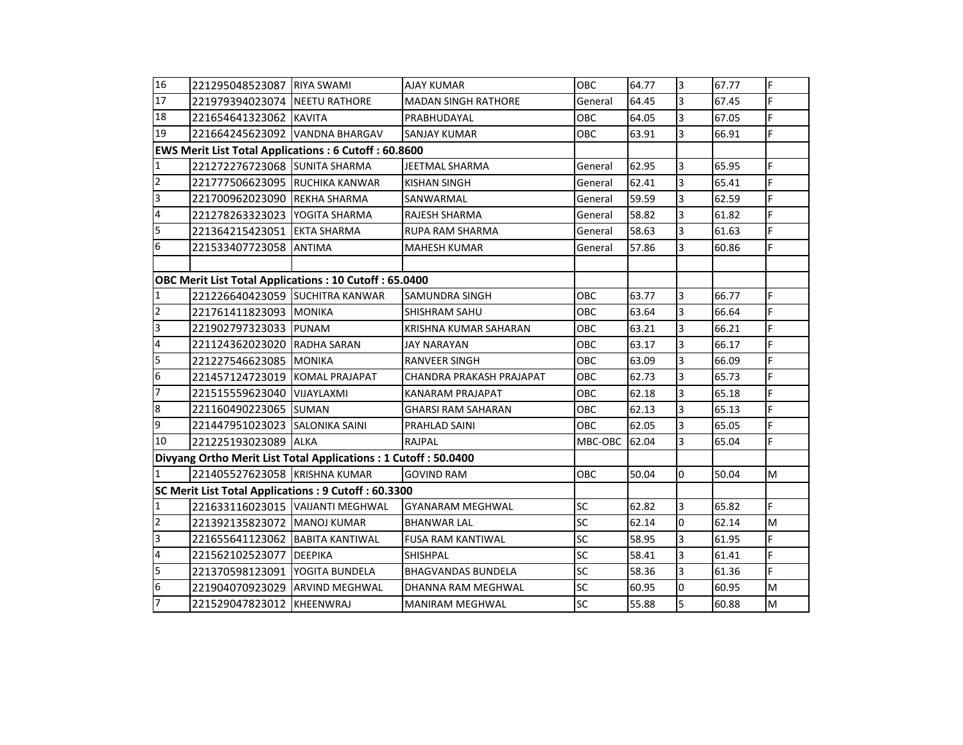| 16                                                             | 221295048523087 RIYA SWAMI       |                                  | <b>AJAY KUMAR</b>          | <b>OBC</b> | 64.77 | 3                       | 67.77 | F  |
|----------------------------------------------------------------|----------------------------------|----------------------------------|----------------------------|------------|-------|-------------------------|-------|----|
| 17                                                             | 221979394023074 NEETU RATHORE    |                                  | <b>MADAN SINGH RATHORE</b> | General    | 64.45 | 3                       | 67.45 | F. |
| 18                                                             | 221654641323062 KAVITA           |                                  | PRABHUDAYAL                | OBC        | 64.05 | 3                       | 67.05 | F. |
| 19                                                             | 221664245623092 VANDNA BHARGAV   |                                  | SANJAY KUMAR               | OBC        | 63.91 | 3                       | 66.91 | F. |
| <b>EWS Merit List Total Applications: 6 Cutoff: 60.8600</b>    |                                  |                                  |                            |            |       |                         |       |    |
| $\mathbf 1$                                                    | 221272276723068 SUNITA SHARMA    |                                  | <b>JEETMAL SHARMA</b>      | General    | 62.95 | $\overline{3}$          | 65.95 | F. |
| $\overline{2}$                                                 | 221777506623095 RUCHIKA KANWAR   |                                  | <b>KISHAN SINGH</b>        | General    | 62.41 | $\overline{3}$          | 65.41 | F. |
| $\overline{3}$                                                 | 221700962023090 REKHA SHARMA     |                                  | SANWARMAL                  | General    | 59.59 | $\overline{\mathbf{3}}$ | 62.59 | F. |
| $\overline{4}$                                                 | 221278263323023   YOGITA SHARMA  |                                  | <b>RAJESH SHARMA</b>       | General    | 58.82 | $\overline{3}$          | 61.82 | F. |
| $\overline{5}$                                                 | 221364215423051 EKTA SHARMA      |                                  | <b>RUPA RAM SHARMA</b>     | General    | 58.63 | 3                       | 61.63 | F. |
| 6                                                              | 221533407723058 ANTIMA           |                                  | <b>MAHESH KUMAR</b>        | General    | 57.86 | $\overline{3}$          | 60.86 | F. |
|                                                                |                                  |                                  |                            |            |       |                         |       |    |
| <b>OBC Merit List Total Applications: 10 Cutoff: 65.0400</b>   |                                  |                                  |                            |            |       |                         |       |    |
| $\mathbf{1}$                                                   | 221226640423059 SUCHITRA KANWAR  |                                  | <b>SAMUNDRA SINGH</b>      | OBC        | 63.77 | $\overline{3}$          | 66.77 | F  |
| $\overline{2}$                                                 | 221761411823093 MONIKA           |                                  | <b>SHISHRAM SAHU</b>       | OBC        | 63.64 | 3                       | 66.64 | F  |
| $\overline{3}$                                                 | 221902797323033 PUNAM            |                                  | KRISHNA KUMAR SAHARAN      | <b>OBC</b> | 63.21 | 3                       | 66.21 | F  |
| $\overline{4}$                                                 | 221124362023020 RADHA SARAN      |                                  | <b>JAY NARAYAN</b>         | OBC        | 63.17 | $\overline{3}$          | 66.17 | F. |
| 5                                                              | 221227546623085 MONIKA           |                                  | <b>RANVEER SINGH</b>       | OBC        | 63.09 | $\overline{3}$          | 66.09 | F  |
| $\overline{6}$                                                 | 221457124723019 KOMAL PRAJAPAT   |                                  | CHANDRA PRAKASH PRAJAPAT   | OBC        | 62.73 | $\overline{3}$          | 65.73 | F. |
| $\overline{7}$                                                 | 221515559623040 VIJAYLAXMI       |                                  | KANARAM PRAJAPAT           | OBC        | 62.18 | 3                       | 65.18 | F. |
| $\overline{8}$                                                 | 221160490223065 SUMAN            |                                  | <b>GHARSI RAM SAHARAN</b>  | OBC        | 62.13 | $\overline{3}$          | 65.13 | F. |
| $\overline{9}$                                                 | 221447951023023 SALONIKA SAINI   |                                  | PRAHLAD SAINI              | <b>OBC</b> | 62.05 | 3                       | 65.05 | F. |
| 10                                                             | 221225193023089 ALKA             |                                  | RAJPAL                     | MBC-OBC    | 62.04 | $\overline{3}$          | 65.04 | F. |
| Divyang Ortho Merit List Total Applications: 1 Cutoff: 50.0400 |                                  |                                  |                            |            |       |                         |       |    |
| $\overline{1}$                                                 | 221405527623058 KRISHNA KUMAR    |                                  | <b>GOVIND RAM</b>          | OBC        | 50.04 | $\overline{0}$          | 50.04 | M  |
| SC Merit List Total Applications: 9 Cutoff: 60.3300            |                                  |                                  |                            |            |       |                         |       |    |
| $\mathbf 1$                                                    |                                  | 221633116023015 VAIJANTI MEGHWAL | GYANARAM MEGHWAL           | SC         | 62.82 | 3                       | 65.82 | F. |
| $\overline{2}$                                                 | 221392135823072 MANOJ KUMAR      |                                  | <b>BHANWAR LAL</b>         | SC         | 62.14 | $\overline{0}$          | 62.14 | M  |
| m                                                              | 221655641123062 BABITA KANTIWAL  |                                  | <b>FUSA RAM KANTIWAL</b>   | SC         | 58.95 | 3                       | 61.95 | F. |
| $\overline{4}$                                                 | 221562102523077 DEEPIKA          |                                  | <b>SHISHPAL</b>            | SC         | 58.41 | $\overline{3}$          | 61.41 | F. |
| 5                                                              | 221370598123091   YOGITA BUNDELA |                                  | <b>BHAGVANDAS BUNDELA</b>  | SC         | 58.36 | 3                       | 61.36 | F. |
| $6\phantom{.}6$                                                | 221904070923029 ARVIND MEGHWAL   |                                  | DHANNA RAM MEGHWAL         | SC         | 60.95 | $\overline{0}$          | 60.95 | M  |
| $\overline{7}$                                                 | 221529047823012 KHEENWRAJ        |                                  | <b>MANIRAM MEGHWAL</b>     | SC         | 55.88 | 5                       | 60.88 | M  |